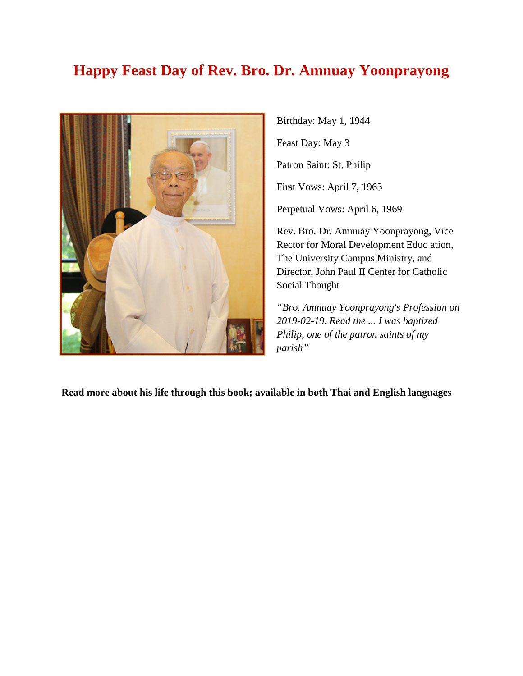# **Happy Feast Day of Rev. Bro. Dr. Amnuay Yoonprayong**



Birthday: May 1, 1944 Feast Day: May 3

Patron Saint: St. Philip

First Vows: April 7, 1963

Perpetual Vows: April 6, 1969

Rev. Bro. Dr. Amnuay Yoonprayong, Vice Rector for Moral Development Educ ation, The University Campus Ministry, and Director, John Paul II Center for Catholic Social Thought

*"Bro. Amnuay Yoonprayong's Profession on 2019-02-19. Read the ... I was baptized Philip, one of the patron saints of my parish"*

**Read more about his life through this book; available in both Thai and English languages**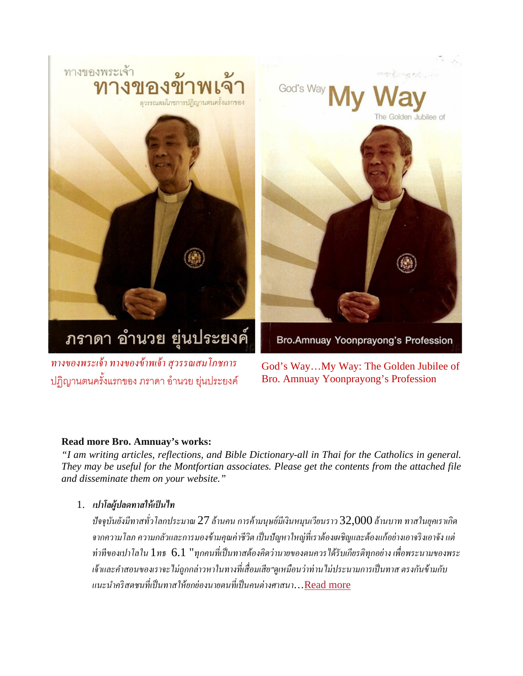

### **Read more Bro. Amnuay's works:**

*"I am writing articles, reflections, and Bible Dictionary-all in Thai for the Catholics in general. They may be useful for the Montfortian associates. Please get the contents from the attached file and disseminate them on your website."*

## 1. *<sup>40</sup>เปาโลผ้ปลดทาสให้เป็ นไท ู <sup>40</sup>*

*ปัจจุบันยังมีทาสทั่วโลกประมาณ* 27 *ล้านคน การค้ามนุษย์มีเงินหมุนเวียนราว* 32,000 *ล้านบาท ทาสในยุคเราเกิด จากความโลภ ความกลัวและการมองข้ามคุณค่าชีวิต เป็ นปัญหาใหญ่ที่เราต้องเผชิญและต้องแก้อย่างเอาจริงเอาจัง แต่ ท่าทีของเปาโลใน* 1*ทธ* 6.1 "*ทุกคนที่เป็ นทาสต้องคิดว่านายของตนควรได้รับเกียรติทุกอย่าง เพื่อพระนามของพระ เจ้าและคําสอนของเราจะไม่ถูกกล่าวหาในทางที่เสื่อมเสีย"ดูเหมือนว่าท่านไม่ประนามการเป็ นทาส ตรงกันข้ามกับ แนะนําคริสตชนที่เป็ นทาสให้ยกย่องนายตนที่เป็ นคนต่างศาสนา*[…Read more](https://www.montfortian.com/nok20-7.asp)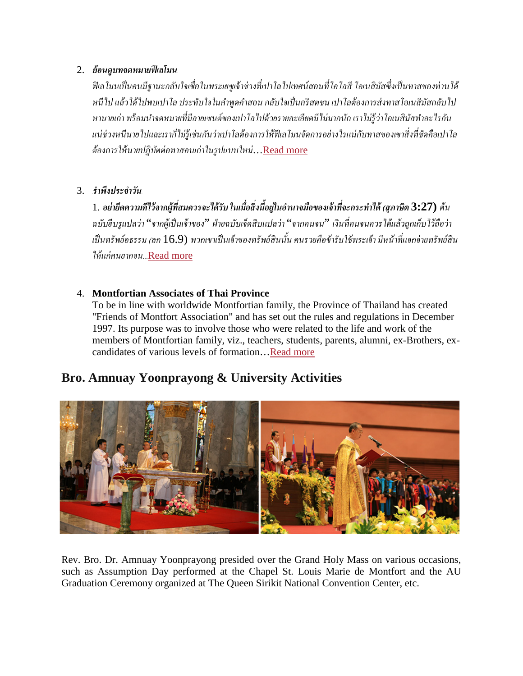## 2. *ย้*อนดูบทจดหมายฟีเลโมน

*ฟิ เลโมนเป็ นคนมีฐานะกลับใจเชื่อในพระเยซูเจ้าช่วงที่เปาโลไปเทศน์สอนที่โคโลสี โอเนสิมัสซึ่งเป็ นทาสของท่านได้ หนีไป แล้วได้ไปพบเปาโล ประทับใจในคําพูดคําสอน กลับใจเป็ นคริสตชน เปาโลต้องการส่งทาสโอเนสิมัสกลับไป หานายเก่า พร้ อมนําจดหมายที่มีลายเซนต์ของเปาโลไปด้วยรายละเอียดมีไม่มากนัก เราไม่รู้ ว่าโอเนสิมัสทําอะไรกัน แน่ช่วงหนีนายไปและเราก็ไม่รู้ เช่นกันว่าเปาโลต้องการให้ฟี เลโมนจัดการอย่างไรแน่กับทาสของเขาสิ่งที่ชัดคือเปาโล ต้องการให้นายปฏิบัตต่อทาสคนเก่าในรูปแบบใหม่*[…Read more](https://www.montfortian.com/nok20-6.asp)

## 3. *<sup>40</sup>รําพึงประจําวัน<sup>40</sup>*

1. *อย่ายึดความดีไว้จากผ้ที่สมควรจะได้รับ ในเมื่อสิ่งนี้อย ู ่ในอํานาจมือของเจ้าที่จะกระทําได้ ู (สุภาษิต* **3:27)** *ต้น ฉบับฮีบรูแปลว่า* "*จากผู้เป็ นเจ้าของ*" *ฝ่ ายฉบับเจ็ดสิบแปลว่า* "*จากคนจน*" *เงินที่คนจนควรได้แล้วถูกเก็บไว้ถือว่า เป็ นทรัพย์อธรรม (ลก* 16.9) *พวกเขาเป็ นเจ้าของทรัพย์สินนั้น คนรวยคือข้ารับใช้พระเจ้า มีหน้าที่แจกจ่ายทรัพย์สิน ให้แก่คนยากจน...*[Read more](https://www.montfortian.com/nok20-5.asp)

## 4. **Montfortian Associates of Thai Province**

To be in line with worldwide Montfortian family, the Province of Thailand has created "Friends of Montfort Association" and has set out the rules and regulations in December 1997. Its purpose was to involve those who were related to the life and work of the members of Montfortian family, viz., teachers, students, parents, alumni, ex-Brothers, excandidates of various levels of formation[…Read more](https://www.montfortian.com/nok19-2.asp)

## **Bro. Amnuay Yoonprayong & University Activities**



Rev. Bro. Dr. Amnuay Yoonprayong presided over the Grand Holy Mass on various occasions, such as Assumption Day performed at the Chapel St. Louis Marie de Montfort and the AU Graduation Ceremony organized at The Queen Sirikit National Convention Center, etc.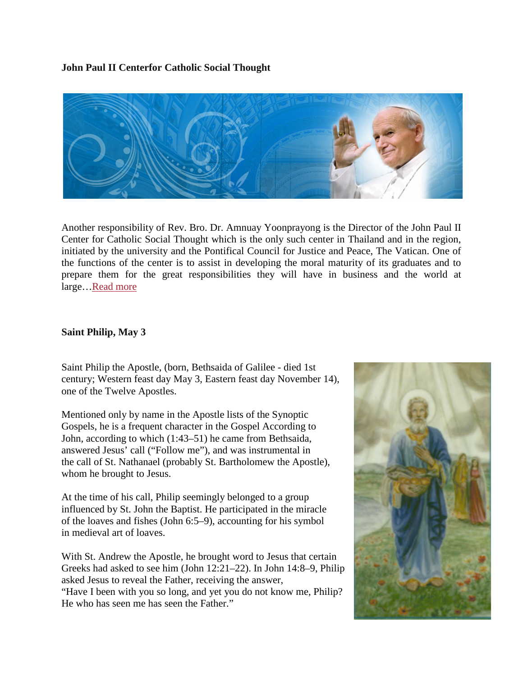**John Paul II Centerfor Catholic Social Thought**



Another responsibility of Rev. Bro. Dr. Amnuay Yoonprayong is the Director of the John Paul II Center for Catholic Social Thought which is the only such center in Thailand and in the region, initiated by the university and the Pontifical Council for Justice and Peace, The Vatican. One of the functions of the center is to assist in developing the moral maturity of its graduates and to prepare them for the great responsibilities they will have in business and the world at large[…Read more](http://www.jp2center.au.edu/)

#### **Saint Philip, May 3**

Saint Philip the Apostle, (born, Bethsaida of Galilee - died 1st century; Western feast day May 3, Eastern feast day November 14), one of the Twelve Apostles.

Mentioned only by name in the Apostle lists of the Synoptic Gospels, he is a frequent character in the Gospel According to John, according to which (1:43–51) he came from Bethsaida, answered Jesus' call ("Follow me"), and was instrumental in the call of St. Nathanael (probably St. Bartholomew the Apostle), whom he brought to Jesus.

At the time of his call, Philip seemingly belonged to a group influenced by St. John the Baptist. He participated in the miracle of the loaves and fishes (John 6:5–9), accounting for his symbol in medieval art of loaves.

With St. Andrew the Apostle, he brought word to Jesus that certain Greeks had asked to see him (John 12:21–22). In John 14:8–9, Philip asked Jesus to reveal the Father, receiving the answer, "Have I been with you so long, and yet you do not know me, Philip? He who has seen me has seen the Father."